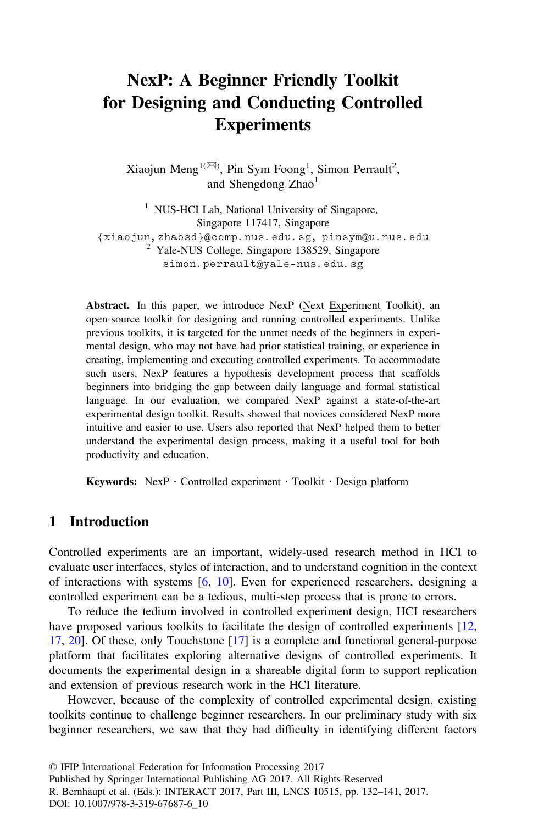# NexP: A Beginner Friendly Toolkit for Designing and Conducting Controlled **Experiments**

Xiaojun Meng $^{1(\boxtimes)}$ , Pin Sym Foong<sup>1</sup>, Simon Perrault<sup>2</sup>, and Shengdong Zhao<sup>1</sup>

<sup>1</sup> NUS-HCI Lab, National University of Singapore, Singapore 117417, Singapore<br>{xiaojun, zhaosd}@comp.nus.edu.sg, pinsym@u.nus.edu <sup>2</sup> Yale-NUS College, Singapore 138529, Singapore simon.perrault@yale-nus.edu.sg

Abstract. In this paper, we introduce NexP (Next Experiment Toolkit), an open-source toolkit for designing and running controlled experiments. Unlike previous toolkits, it is targeted for the unmet needs of the beginners in experimental design, who may not have had prior statistical training, or experience in creating, implementing and executing controlled experiments. To accommodate such users, NexP features a hypothesis development process that scaffolds beginners into bridging the gap between daily language and formal statistical language. In our evaluation, we compared NexP against a state-of-the-art experimental design toolkit. Results showed that novices considered NexP more intuitive and easier to use. Users also reported that NexP helped them to better understand the experimental design process, making it a useful tool for both productivity and education.

Keywords: NexP  $\cdot$  Controlled experiment  $\cdot$  Toolkit  $\cdot$  Design platform

# 1 Introduction

Controlled experiments are an important, widely-used research method in HCI to evaluate user interfaces, styles of interaction, and to understand cognition in the context of interactions with systems [\[6](#page-8-0), [10\]](#page-8-0). Even for experienced researchers, designing a controlled experiment can be a tedious, multi-step process that is prone to errors.

To reduce the tedium involved in controlled experiment design, HCI researchers have proposed various toolkits to facilitate the design of controlled experiments [\[12](#page-8-0), [17,](#page-9-0) [20](#page-9-0)]. Of these, only Touchstone [[17\]](#page-9-0) is a complete and functional general-purpose platform that facilitates exploring alternative designs of controlled experiments. It documents the experimental design in a shareable digital form to support replication and extension of previous research work in the HCI literature.

However, because of the complexity of controlled experimental design, existing toolkits continue to challenge beginner researchers. In our preliminary study with six beginner researchers, we saw that they had difficulty in identifying different factors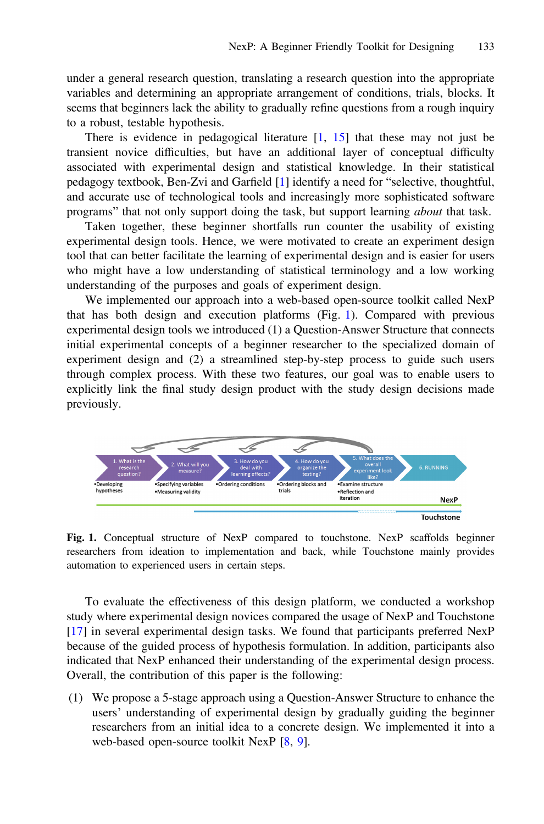under a general research question, translating a research question into the appropriate variables and determining an appropriate arrangement of conditions, trials, blocks. It seems that beginners lack the ability to gradually refine questions from a rough inquiry to a robust, testable hypothesis.

There is evidence in pedagogical literature  $\begin{bmatrix} 1 \\ 1 \end{bmatrix}$  that these may not just be transient novice difficulties, but have an additional layer of conceptual difficulty associated with experimental design and statistical knowledge. In their statistical pedagogy textbook, Ben-Zvi and Garfield [[1\]](#page-8-0) identify a need for "selective, thoughtful, and accurate use of technological tools and increasingly more sophisticated software programs" that not only support doing the task, but support learning about that task.

Taken together, these beginner shortfalls run counter the usability of existing experimental design tools. Hence, we were motivated to create an experiment design tool that can better facilitate the learning of experimental design and is easier for users who might have a low understanding of statistical terminology and a low working understanding of the purposes and goals of experiment design.

We implemented our approach into a web-based open-source toolkit called NexP that has both design and execution platforms (Fig. 1). Compared with previous experimental design tools we introduced (1) a Question-Answer Structure that connects initial experimental concepts of a beginner researcher to the specialized domain of experiment design and (2) a streamlined step-by-step process to guide such users through complex process. With these two features, our goal was to enable users to explicitly link the final study design product with the study design decisions made previously.



Fig. 1. Conceptual structure of NexP compared to touchstone. NexP scaffolds beginner researchers from ideation to implementation and back, while Touchstone mainly provides automation to experienced users in certain steps.

To evaluate the effectiveness of this design platform, we conducted a workshop study where experimental design novices compared the usage of NexP and Touchstone [\[17](#page-9-0)] in several experimental design tasks. We found that participants preferred NexP because of the guided process of hypothesis formulation. In addition, participants also indicated that NexP enhanced their understanding of the experimental design process. Overall, the contribution of this paper is the following:

(1) We propose a 5-stage approach using a Question-Answer Structure to enhance the users' understanding of experimental design by gradually guiding the beginner researchers from an initial idea to a concrete design. We implemented it into a web-based open-source toolkit NexP [\[8](#page-8-0), [9](#page-8-0)].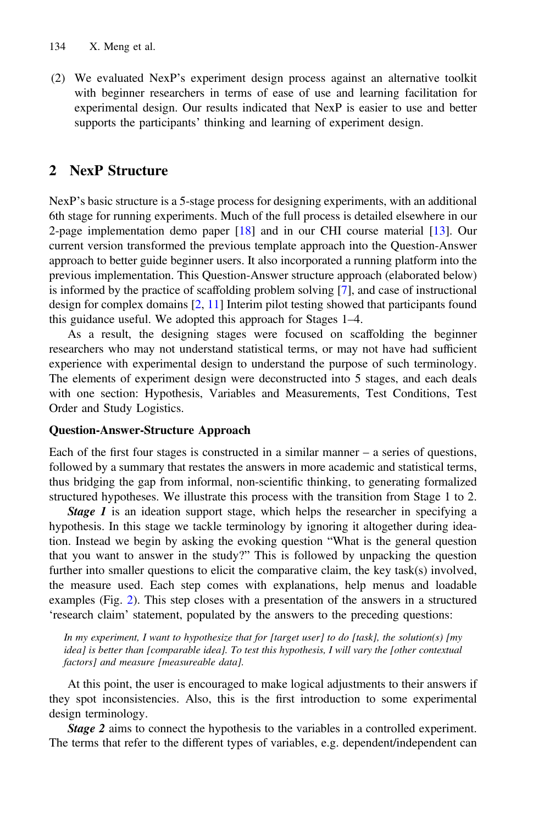(2) We evaluated NexP's experiment design process against an alternative toolkit with beginner researchers in terms of ease of use and learning facilitation for experimental design. Our results indicated that NexP is easier to use and better supports the participants' thinking and learning of experiment design.

### 2 NexP Structure

NexP's basic structure is a 5-stage process for designing experiments, with an additional 6th stage for running experiments. Much of the full process is detailed elsewhere in our 2-page implementation demo paper [\[18](#page-9-0)] and in our CHI course material [\[13](#page-9-0)]. Our current version transformed the previous template approach into the Question-Answer approach to better guide beginner users. It also incorporated a running platform into the previous implementation. This Question-Answer structure approach (elaborated below) is informed by the practice of scaffolding problem solving [[7\]](#page-8-0), and case of instructional design for complex domains [[2,](#page-8-0) [11\]](#page-8-0) Interim pilot testing showed that participants found this guidance useful. We adopted this approach for Stages 1–4.

As a result, the designing stages were focused on scaffolding the beginner researchers who may not understand statistical terms, or may not have had sufficient experience with experimental design to understand the purpose of such terminology. The elements of experiment design were deconstructed into 5 stages, and each deals with one section: Hypothesis, Variables and Measurements, Test Conditions, Test Order and Study Logistics.

#### Question-Answer-Structure Approach

Each of the first four stages is constructed in a similar manner – a series of questions, followed by a summary that restates the answers in more academic and statistical terms, thus bridging the gap from informal, non-scientific thinking, to generating formalized structured hypotheses. We illustrate this process with the transition from Stage 1 to 2.

Stage 1 is an ideation support stage, which helps the researcher in specifying a hypothesis. In this stage we tackle terminology by ignoring it altogether during ideation. Instead we begin by asking the evoking question "What is the general question that you want to answer in the study?" This is followed by unpacking the question further into smaller questions to elicit the comparative claim, the key task(s) involved, the measure used. Each step comes with explanations, help menus and loadable examples (Fig. [2\)](#page-3-0). This step closes with a presentation of the answers in a structured 'research claim' statement, populated by the answers to the preceding questions:

In my experiment, I want to hypothesize that for [target user] to do [task], the solution(s) [my idea] is better than [comparable idea]. To test this hypothesis, I will vary the [other contextual factors] and measure [measureable data].

At this point, the user is encouraged to make logical adjustments to their answers if they spot inconsistencies. Also, this is the first introduction to some experimental design terminology.

Stage 2 aims to connect the hypothesis to the variables in a controlled experiment. The terms that refer to the different types of variables, e.g. dependent/independent can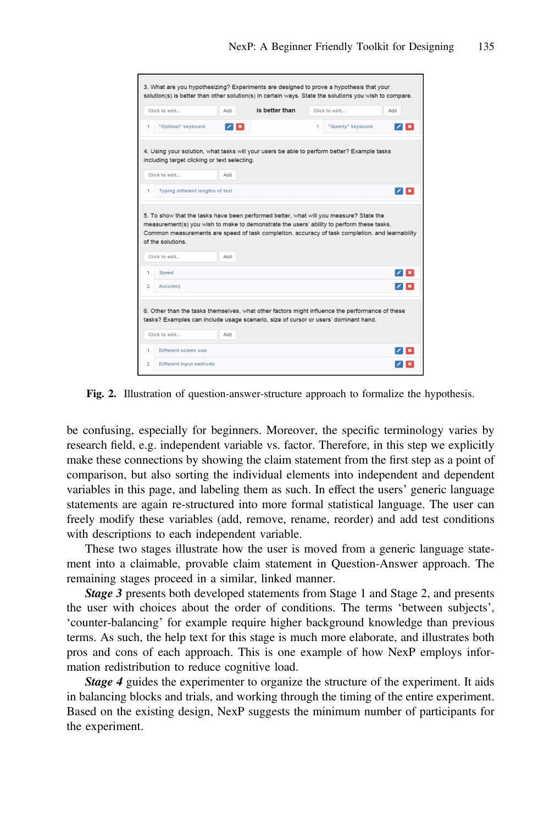<span id="page-3-0"></span>

| Click to edit                                                                       |                                              | Add     | is better than                                                                                                                                                                                                                                                                         |    | Click to edit     | Add |
|-------------------------------------------------------------------------------------|----------------------------------------------|---------|----------------------------------------------------------------------------------------------------------------------------------------------------------------------------------------------------------------------------------------------------------------------------------------|----|-------------------|-----|
| 1.                                                                                  | "Optimal" keyboard                           | $ Z $ x |                                                                                                                                                                                                                                                                                        | 1. | "Qwerty" keyboard |     |
|                                                                                     | including target clicking or text selecting. |         | 4. Using your solution, what tasks will your users be able to perform better? Example tasks                                                                                                                                                                                            |    |                   |     |
|                                                                                     |                                              |         |                                                                                                                                                                                                                                                                                        |    |                   |     |
| Click to edit                                                                       |                                              | Add     |                                                                                                                                                                                                                                                                                        |    |                   |     |
| 1.                                                                                  | Typing different lengths of text             |         |                                                                                                                                                                                                                                                                                        |    |                   |     |
|                                                                                     |                                              |         | 5. To show that the tasks have been performed better, what will you measure? State the<br>measurement(s) you wish to make to demonstrate the users' ability to perform these tasks.<br>Common measurements are speed of task completion, accuracy of task completion, and learnability |    |                   |     |
|                                                                                     |                                              | Add     |                                                                                                                                                                                                                                                                                        |    |                   |     |
| <b>Speed</b>                                                                        |                                              |         |                                                                                                                                                                                                                                                                                        |    |                   |     |
| Accuracy                                                                            |                                              |         |                                                                                                                                                                                                                                                                                        |    |                   |     |
|                                                                                     |                                              |         |                                                                                                                                                                                                                                                                                        |    |                   |     |
|                                                                                     |                                              |         | 6. Other than the tasks themselves, what other factors might influence the performance of these<br>tasks? Examples can include usage scenario, size of cursor or users' dominant hand.                                                                                                 |    |                   |     |
|                                                                                     |                                              | Add     |                                                                                                                                                                                                                                                                                        |    |                   |     |
| of the solutions.<br>Click to edit<br>1.<br>$\overline{2}$ .<br>Click to edit<br>1. | Different screen size                        |         |                                                                                                                                                                                                                                                                                        |    |                   |     |

Fig. 2. Illustration of question-answer-structure approach to formalize the hypothesis.

be confusing, especially for beginners. Moreover, the specific terminology varies by research field, e.g. independent variable vs. factor. Therefore, in this step we explicitly make these connections by showing the claim statement from the first step as a point of comparison, but also sorting the individual elements into independent and dependent variables in this page, and labeling them as such. In effect the users' generic language statements are again re-structured into more formal statistical language. The user can freely modify these variables (add, remove, rename, reorder) and add test conditions with descriptions to each independent variable.

These two stages illustrate how the user is moved from a generic language statement into a claimable, provable claim statement in Question-Answer approach. The remaining stages proceed in a similar, linked manner.

Stage 3 presents both developed statements from Stage 1 and Stage 2, and presents the user with choices about the order of conditions. The terms 'between subjects', 'counter-balancing' for example require higher background knowledge than previous terms. As such, the help text for this stage is much more elaborate, and illustrates both pros and cons of each approach. This is one example of how NexP employs information redistribution to reduce cognitive load.

**Stage 4** guides the experimenter to organize the structure of the experiment. It aids in balancing blocks and trials, and working through the timing of the entire experiment. Based on the existing design, NexP suggests the minimum number of participants for the experiment.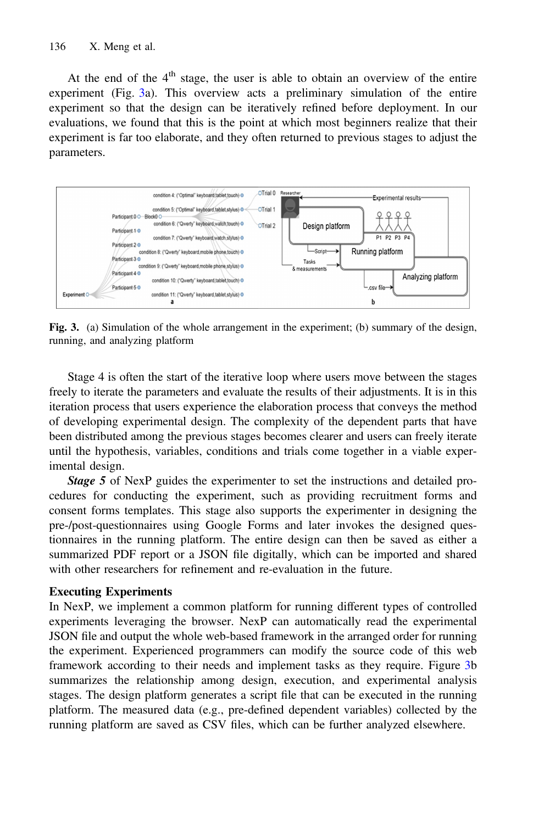#### 136 X. Meng et al.

At the end of the  $4<sup>th</sup>$  stage, the user is able to obtain an overview of the entire experiment (Fig. 3a). This overview acts a preliminary simulation of the entire experiment so that the design can be iteratively refined before deployment. In our evaluations, we found that this is the point at which most beginners realize that their experiment is far too elaborate, and they often returned to previous stages to adjust the parameters.



Fig. 3. (a) Simulation of the whole arrangement in the experiment; (b) summary of the design, running, and analyzing platform

Stage 4 is often the start of the iterative loop where users move between the stages freely to iterate the parameters and evaluate the results of their adjustments. It is in this iteration process that users experience the elaboration process that conveys the method of developing experimental design. The complexity of the dependent parts that have been distributed among the previous stages becomes clearer and users can freely iterate until the hypothesis, variables, conditions and trials come together in a viable experimental design.

Stage 5 of NexP guides the experimenter to set the instructions and detailed procedures for conducting the experiment, such as providing recruitment forms and consent forms templates. This stage also supports the experimenter in designing the pre-/post-questionnaires using Google Forms and later invokes the designed questionnaires in the running platform. The entire design can then be saved as either a summarized PDF report or a JSON file digitally, which can be imported and shared with other researchers for refinement and re-evaluation in the future.

#### Executing Experiments

In NexP, we implement a common platform for running different types of controlled experiments leveraging the browser. NexP can automatically read the experimental JSON file and output the whole web-based framework in the arranged order for running the experiment. Experienced programmers can modify the source code of this web framework according to their needs and implement tasks as they require. Figure 3b summarizes the relationship among design, execution, and experimental analysis stages. The design platform generates a script file that can be executed in the running platform. The measured data (e.g., pre-defined dependent variables) collected by the running platform are saved as CSV files, which can be further analyzed elsewhere.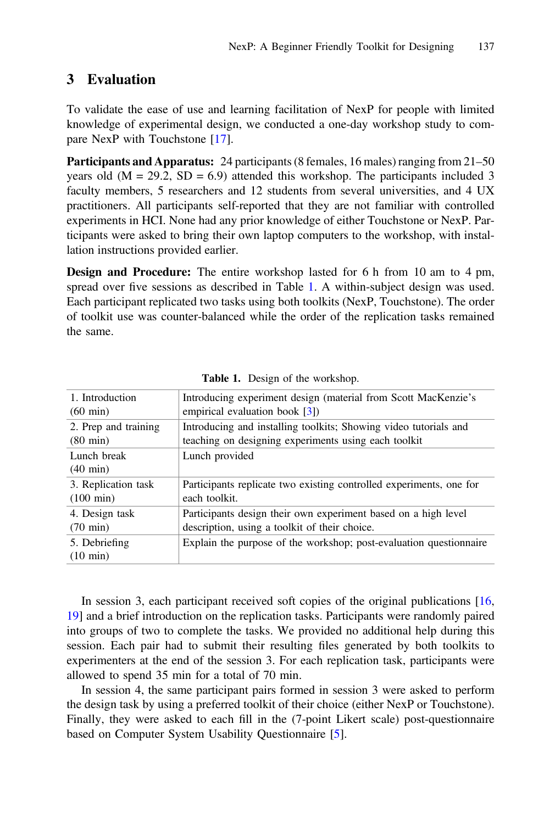### 3 Evaluation

To validate the ease of use and learning facilitation of NexP for people with limited knowledge of experimental design, we conducted a one-day workshop study to compare NexP with Touchstone [\[17](#page-9-0)].

Participants and Apparatus: 24 participants (8 females, 16 males) ranging from 21–50 years old ( $M = 29.2$ ,  $SD = 6.9$ ) attended this workshop. The participants included 3 faculty members, 5 researchers and 12 students from several universities, and 4 UX practitioners. All participants self-reported that they are not familiar with controlled experiments in HCI. None had any prior knowledge of either Touchstone or NexP. Participants were asked to bring their own laptop computers to the workshop, with installation instructions provided earlier.

Design and Procedure: The entire workshop lasted for 6 h from 10 am to 4 pm, spread over five sessions as described in Table 1. A within-subject design was used. Each participant replicated two tasks using both toolkits (NexP, Touchstone). The order of toolkit use was counter-balanced while the order of the replication tasks remained the same.

| 1. Introduction                     | Introducing experiment design (material from Scott MacKenzie's      |
|-------------------------------------|---------------------------------------------------------------------|
| $(60 \text{ min})$                  | empirical evaluation book $\lceil 3 \rceil$ )                       |
| 2. Prep and training                | Introducing and installing toolkits; Showing video tutorials and    |
| $(80 \text{ min})$                  | teaching on designing experiments using each toolkit                |
| Lunch break<br>$(40 \text{ min})$   | Lunch provided                                                      |
| 3. Replication task                 | Participants replicate two existing controlled experiments, one for |
| $(100 \text{ min})$                 | each toolkit.                                                       |
| 4. Design task                      | Participants design their own experiment based on a high level      |
| $(70 \text{ min})$                  | description, using a toolkit of their choice.                       |
| 5. Debriefing<br>$(10 \text{ min})$ | Explain the purpose of the workshop; post-evaluation questionnaire  |

Table 1. Design of the workshop.

In session 3, each participant received soft copies of the original publications [\[16](#page-9-0), [19\]](#page-9-0) and a brief introduction on the replication tasks. Participants were randomly paired into groups of two to complete the tasks. We provided no additional help during this session. Each pair had to submit their resulting files generated by both toolkits to experimenters at the end of the session 3. For each replication task, participants were allowed to spend 35 min for a total of 70 min.

In session 4, the same participant pairs formed in session 3 were asked to perform the design task by using a preferred toolkit of their choice (either NexP or Touchstone). Finally, they were asked to each fill in the (7-point Likert scale) post-questionnaire based on Computer System Usability Questionnaire [[5\]](#page-8-0).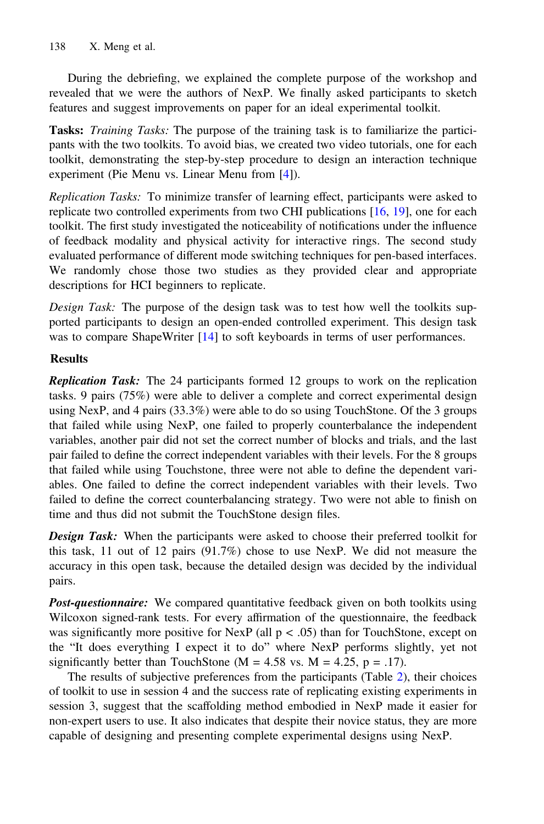During the debriefing, we explained the complete purpose of the workshop and revealed that we were the authors of NexP. We finally asked participants to sketch features and suggest improvements on paper for an ideal experimental toolkit.

Tasks: *Training Tasks*: The purpose of the training task is to familiarize the participants with the two toolkits. To avoid bias, we created two video tutorials, one for each toolkit, demonstrating the step-by-step procedure to design an interaction technique experiment (Pie Menu vs. Linear Menu from [[4\]](#page-8-0)).

Replication Tasks: To minimize transfer of learning effect, participants were asked to replicate two controlled experiments from two CHI publications [\[16](#page-9-0), [19](#page-9-0)], one for each toolkit. The first study investigated the noticeability of notifications under the influence of feedback modality and physical activity for interactive rings. The second study evaluated performance of different mode switching techniques for pen-based interfaces. We randomly chose those two studies as they provided clear and appropriate descriptions for HCI beginners to replicate.

Design Task: The purpose of the design task was to test how well the toolkits supported participants to design an open-ended controlled experiment. This design task was to compare ShapeWriter [\[14](#page-9-0)] to soft keyboards in terms of user performances.

### **Results**

Replication Task: The 24 participants formed 12 groups to work on the replication tasks. 9 pairs (75%) were able to deliver a complete and correct experimental design using NexP, and 4 pairs (33.3%) were able to do so using TouchStone. Of the 3 groups that failed while using NexP, one failed to properly counterbalance the independent variables, another pair did not set the correct number of blocks and trials, and the last pair failed to define the correct independent variables with their levels. For the 8 groups that failed while using Touchstone, three were not able to define the dependent variables. One failed to define the correct independent variables with their levels. Two failed to define the correct counterbalancing strategy. Two were not able to finish on time and thus did not submit the TouchStone design files.

**Design Task:** When the participants were asked to choose their preferred toolkit for this task, 11 out of 12 pairs (91.7%) chose to use NexP. We did not measure the accuracy in this open task, because the detailed design was decided by the individual pairs.

**Post-questionnaire:** We compared quantitative feedback given on both toolkits using Wilcoxon signed-rank tests. For every affirmation of the questionnaire, the feedback was significantly more positive for NexP (all  $p < .05$ ) than for TouchStone, except on the "It does everything I expect it to do" where NexP performs slightly, yet not significantly better than TouchStone ( $M = 4.58$  vs.  $M = 4.25$ ,  $p = .17$ ).

The results of subjective preferences from the participants (Table [2\)](#page-7-0), their choices of toolkit to use in session 4 and the success rate of replicating existing experiments in session 3, suggest that the scaffolding method embodied in NexP made it easier for non-expert users to use. It also indicates that despite their novice status, they are more capable of designing and presenting complete experimental designs using NexP.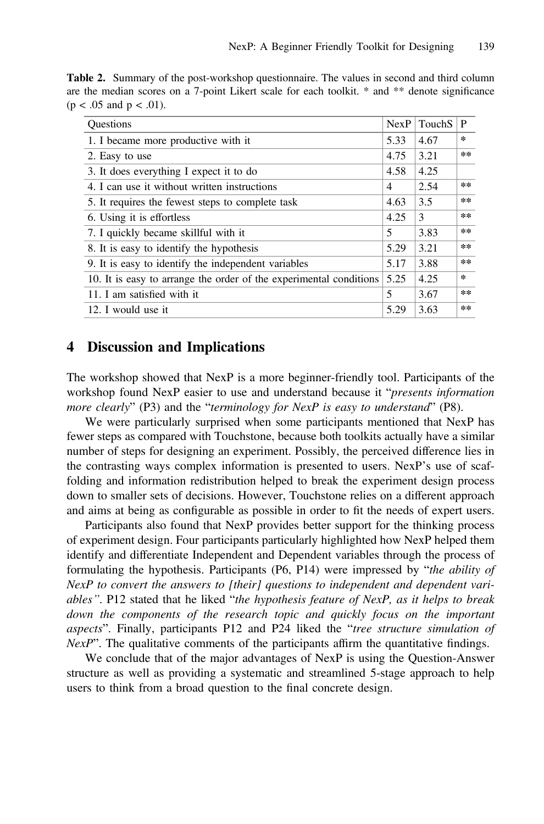<span id="page-7-0"></span>Table 2. Summary of the post-workshop questionnaire. The values in second and third column are the median scores on a 7-point Likert scale for each toolkit. \* and \*\* denote significance  $(p < .05$  and  $p < .01$ ).

| <b>Ouestions</b>                                                   | NexP | TouchS | P  |
|--------------------------------------------------------------------|------|--------|----|
| 1. I became more productive with it                                | 5.33 | 4.67   | *  |
| 2. Easy to use                                                     | 4.75 | 3.21   | ** |
| 3. It does everything I expect it to do                            | 4.58 | 4.25   |    |
| 4. I can use it without written instructions                       | 4    | 2.54   | ** |
| 5. It requires the fewest steps to complete task                   | 4.63 | 3.5    | ** |
| 6. Using it is effortless                                          | 4.25 | 3      | ** |
| 7. I quickly became skillful with it                               |      | 3.83   | ** |
| 8. It is easy to identify the hypothesis                           |      | 3.21   | ** |
| 9. It is easy to identify the independent variables                |      | 3.88   | ** |
| 10. It is easy to arrange the order of the experimental conditions |      | 4.25   | ∗  |
| 11. I am satisfied with it                                         |      | 3.67   | ** |
| 12. I would use it                                                 | 5.29 | 3.63   | ** |

#### 4 Discussion and Implications

The workshop showed that NexP is a more beginner-friendly tool. Participants of the workshop found NexP easier to use and understand because it "*presents information* more clearly" (P3) and the "terminology for NexP is easy to understand" (P8).

We were particularly surprised when some participants mentioned that NexP has fewer steps as compared with Touchstone, because both toolkits actually have a similar number of steps for designing an experiment. Possibly, the perceived difference lies in the contrasting ways complex information is presented to users. NexP's use of scaffolding and information redistribution helped to break the experiment design process down to smaller sets of decisions. However, Touchstone relies on a different approach and aims at being as configurable as possible in order to fit the needs of expert users.

Participants also found that NexP provides better support for the thinking process of experiment design. Four participants particularly highlighted how NexP helped them identify and differentiate Independent and Dependent variables through the process of formulating the hypothesis. Participants (P6, P14) were impressed by "the ability of NexP to convert the answers to [their] questions to independent and dependent variables". P12 stated that he liked "the hypothesis feature of NexP, as it helps to break down the components of the research topic and quickly focus on the important aspects". Finally, participants P12 and P24 liked the "tree structure simulation of  $NexP$ ". The qualitative comments of the participants affirm the quantitative findings.

We conclude that of the major advantages of NexP is using the Question-Answer structure as well as providing a systematic and streamlined 5-stage approach to help users to think from a broad question to the final concrete design.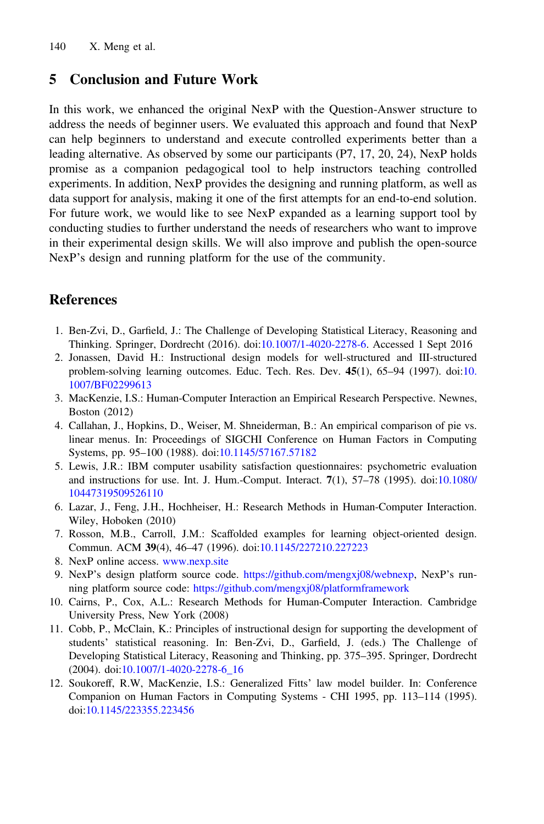# <span id="page-8-0"></span>5 Conclusion and Future Work

In this work, we enhanced the original NexP with the Question-Answer structure to address the needs of beginner users. We evaluated this approach and found that NexP can help beginners to understand and execute controlled experiments better than a leading alternative. As observed by some our participants (P7, 17, 20, 24), NexP holds promise as a companion pedagogical tool to help instructors teaching controlled experiments. In addition, NexP provides the designing and running platform, as well as data support for analysis, making it one of the first attempts for an end-to-end solution. For future work, we would like to see NexP expanded as a learning support tool by conducting studies to further understand the needs of researchers who want to improve in their experimental design skills. We will also improve and publish the open-source NexP's design and running platform for the use of the community.

# References

- 1. Ben-Zvi, D., Garfield, J.: The Challenge of Developing Statistical Literacy, Reasoning and Thinking. Springer, Dordrecht (2016). doi:[10.1007/1-4020-2278-6.](http://dx.doi.org/10.1007/1-4020-2278-6) Accessed 1 Sept 2016
- 2. Jonassen, David H.: Instructional design models for well-structured and III-structured problem-solving learning outcomes. Educ. Tech. Res. Dev. 45(1), 65–94 (1997). doi[:10.](http://dx.doi.org/10.1007/BF02299613) [1007/BF02299613](http://dx.doi.org/10.1007/BF02299613)
- 3. MacKenzie, I.S.: Human-Computer Interaction an Empirical Research Perspective. Newnes, Boston (2012)
- 4. Callahan, J., Hopkins, D., Weiser, M. Shneiderman, B.: An empirical comparison of pie vs. linear menus. In: Proceedings of SIGCHI Conference on Human Factors in Computing Systems, pp. 95–100 (1988). doi[:10.1145/57167.57182](http://dx.doi.org/10.1145/57167.57182)
- 5. Lewis, J.R.: IBM computer usability satisfaction questionnaires: psychometric evaluation and instructions for use. Int. J. Hum.-Comput. Interact. 7(1), 57–78 (1995). doi:[10.1080/](http://dx.doi.org/10.1080/10447319509526110) [10447319509526110](http://dx.doi.org/10.1080/10447319509526110)
- 6. Lazar, J., Feng, J.H., Hochheiser, H.: Research Methods in Human-Computer Interaction. Wiley, Hoboken (2010)
- 7. Rosson, M.B., Carroll, J.M.: Scaffolded examples for learning object-oriented design. Commun. ACM 39(4), 46–47 (1996). doi[:10.1145/227210.227223](http://dx.doi.org/10.1145/227210.227223)
- 8. NexP online access. [www.nexp.site](http://www.nexp.site)
- 9. NexP's design platform source code. [https://github.com/mengxj08/webnexp,](https://github.com/mengxj08/webnexp) NexP's running platform source code: <https://github.com/mengxj08/platformframework>
- 10. Cairns, P., Cox, A.L.: Research Methods for Human-Computer Interaction. Cambridge University Press, New York (2008)
- 11. Cobb, P., McClain, K.: Principles of instructional design for supporting the development of students' statistical reasoning. In: Ben-Zvi, D., Garfield, J. (eds.) The Challenge of Developing Statistical Literacy, Reasoning and Thinking, pp. 375–395. Springer, Dordrecht (2004). doi[:10.1007/1-4020-2278-6\\_16](http://dx.doi.org/10.1007/1-4020-2278-6_16)
- 12. Soukoreff, R.W, MacKenzie, I.S.: Generalized Fitts' law model builder. In: Conference Companion on Human Factors in Computing Systems - CHI 1995, pp. 113–114 (1995). doi[:10.1145/223355.223456](http://dx.doi.org/10.1145/223355.223456)